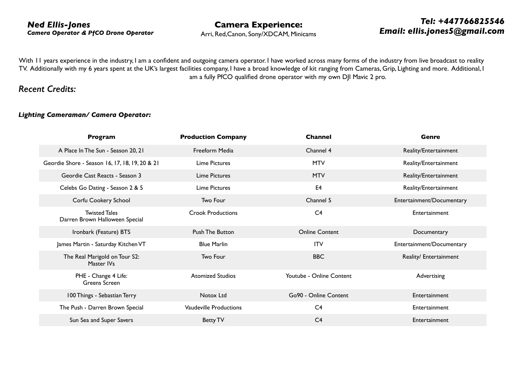## *Ned Ellis-Jones Camera Operator & PfCO Drone Operator*

**Camera Experience:** 

Arri, Red,Canon, Sony/XDCAM, Minicams

## *Tel: +447766825546 Email: ellis.jones5@gmail.com*

With II years experience in the industry, I am a confident and outgoing camera operator. I have worked across many forms of the industry from live broadcast to reality TV. Additionally with my 6 years spent at the UK's largest facilities company, I have a broad knowledge of kit ranging from Cameras, Grip, Lighting and more. Additional, I am a fully PfCO qualified drone operator with my own DJI Mavic 2 pro.

## *Recent Credits:*

## *Lighting Cameraman/ Camera Operator:*

| Program                                                | <b>Production Company</b>     | <b>Channel</b>           | Genre                     |
|--------------------------------------------------------|-------------------------------|--------------------------|---------------------------|
| A Place In The Sun - Season 20, 21                     | Freeform Media                | Channel 4                | Reality/Entertainment     |
| Geordie Shore - Season 16, 17, 18, 19, 20 & 21         | Lime Pictures                 | <b>MTV</b>               | Reality/Entertainment     |
| Geordie Cast Reacts - Season 3                         | <b>Lime Pictures</b>          | <b>MTV</b>               | Reality/Entertainment     |
| Celebs Go Dating - Season 2 & 5                        | Lime Pictures                 | E <sub>4</sub>           | Reality/Entertainment     |
| Corfu Cookery School                                   | Two Four                      | Channel 5                | Entertainment/Documentary |
| <b>Twisted Tales</b><br>Darren Brown Halloween Special | <b>Crook Productions</b>      | C <sub>4</sub>           | Entertainment             |
| Ironbark (Feature) BTS                                 | <b>Push The Button</b>        | <b>Online Content</b>    | Documentary               |
| James Martin - Saturday Kitchen VT                     | <b>Blue Marlin</b>            | <b>ITV</b>               | Entertainment/Documentary |
| The Real Marigold on Tour S2:<br>Master IVs            | Two Four                      | <b>BBC</b>               | Reality/ Entertainment    |
| PHE - Change 4 Life:<br>Greens Screen                  | <b>Atomized Studios</b>       | Youtube - Online Content | Advertising               |
| 100 Things - Sebastian Terry                           | Notox Ltd                     | Go90 - Online Content    | Entertainment             |
| The Push - Darren Brown Special                        | <b>Vaudeville Productions</b> | C <sub>4</sub>           | Entertainment             |
| Sun Sea and Super Savers                               | <b>Betty TV</b>               | C <sub>4</sub>           | Entertainment             |